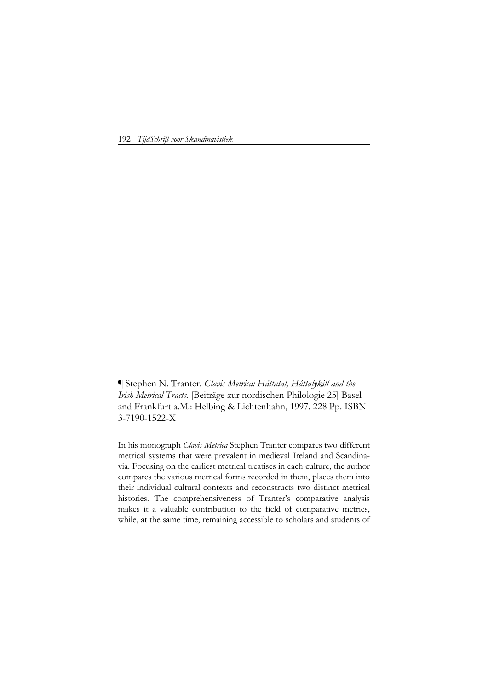192 *TijdSchrift voor Skandinavistiek*

**¶** Stephen N. Tranter. *Clavis Metrica: Háttatal, Háttalykill and the Irish Metrical Tracts.* [Beiträge zur nordischen Philologie 25] Basel and Frankfurt a.M.: Helbing & Lichtenhahn, 1997. 228 Pp. ISBN 3-7190-1522-X

In his monograph *Clavis Metrica* Stephen Tranter compares two different metrical systems that were prevalent in medieval Ireland and Scandinavia. Focusing on the earliest metrical treatises in each culture, the author compares the various metrical forms recorded in them, places them into their individual cultural contexts and reconstructs two distinct metrical histories. The comprehensiveness of Tranter's comparative analysis makes it a valuable contribution to the field of comparative metrics, while, at the same time, remaining accessible to scholars and students of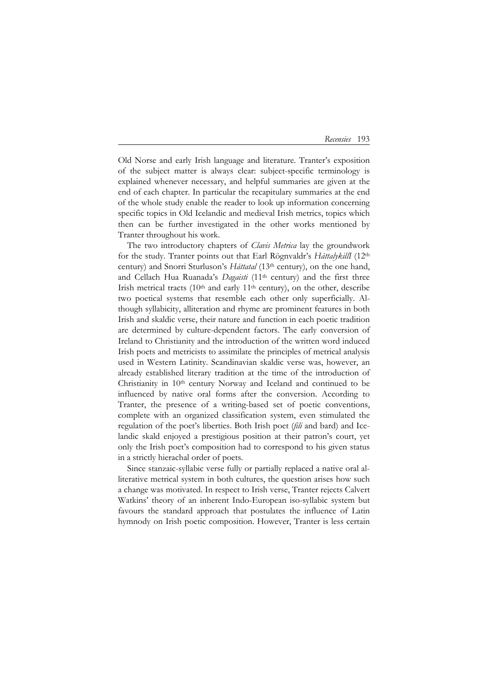## *Recensies* 193

Old Norse and early Irish language and literature. Tranter's exposition of the subject matter is always clear: subject-specific terminology is explained whenever necessary, and helpful summaries are given at the end of each chapter. In particular the recapitulary summaries at the end of the whole study enable the reader to look up information concerning specific topics in Old Icelandic and medieval Irish metrics, topics which then can be further investigated in the other works mentioned by Tranter throughout his work.

The two introductory chapters of *Clavis Metrica* lay the groundwork for the study. Tranter points out that Earl Rögnvaldr's *HáttalykillI* (12th century) and Snorri Sturluson's *Háttatal* (13th century), on the one hand, and Cellach Hua Ruanada's *Dagaisti* (11th century) and the first three Irish metrical tracts  $(10<sup>th</sup>$  and early  $11<sup>th</sup>$  century), on the other, describe two poetical systems that resemble each other only superficially. Although syllabicity, alliteration and rhyme are prominent features in both Irish and skaldic verse, their nature and function in each poetic tradition are determined by culture-dependent factors. The early conversion of Ireland to Christianity and the introduction of the written word induced Irish poets and metricists to assimilate the principles of metrical analysis used in Western Latinity. Scandinavian skaldic verse was, however, an already established literary tradition at the time of the introduction of Christianity in 10th century Norway and Iceland and continued to be influenced by native oral forms after the conversion. According to Tranter, the presence of a writing-based set of poetic conventions, complete with an organized classification system, even stimulated the regulation of the poet's liberties. Both Irish poet (*fili* and bard) and Icelandic skald enjoyed a prestigious position at their patron's court, yet only the Irish poet's composition had to correspond to his given status in a strictly hierachal order of poets.

Since stanzaic-syllabic verse fully or partially replaced a native oral alliterative metrical system in both cultures, the question arises how such a change was motivated. In respect to Irish verse, Tranter rejects Calvert Watkins' theory of an inherent Indo-European iso-syllabic system but favours the standard approach that postulates the influence of Latin hymnody on Irish poetic composition. However, Tranter is less certain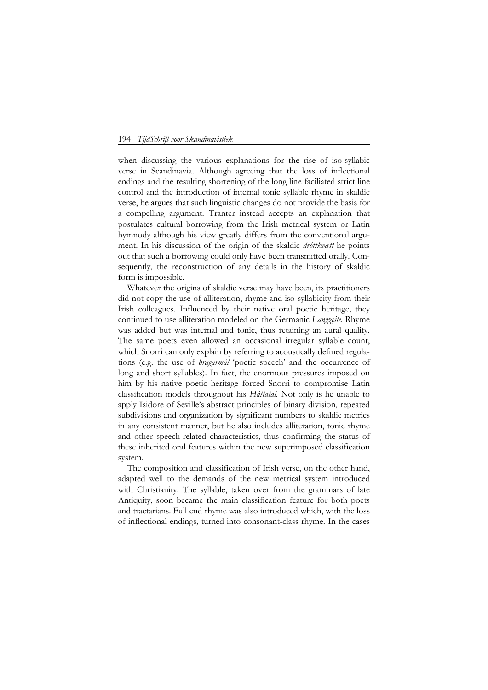## 194 *TijdSchrift voor Skandinavistiek*

when discussing the various explanations for the rise of iso-syllabic verse in Scandinavia. Although agreeing that the loss of inflectional endings and the resulting shortening of the long line faciliated strict line control and the introduction of internal tonic syllable rhyme in skaldic verse, he argues that such linguistic changes do not provide the basis for a compelling argument. Tranter instead accepts an explanation that postulates cultural borrowing from the Irish metrical system or Latin hymnody although his view greatly differs from the conventional argument. In his discussion of the origin of the skaldic *dróttkvætt* he points out that such a borrowing could only have been transmitted orally. Consequently, the reconstruction of any details in the history of skaldic form is impossible.

Whatever the origins of skaldic verse may have been, its practitioners did not copy the use of alliteration, rhyme and iso-syllabicity from their Irish colleagues. Influenced by their native oral poetic heritage, they continued to use alliteration modeled on the Germanic *Langzeile.* Rhyme was added but was internal and tonic, thus retaining an aural quality. The same poets even allowed an occasional irregular syllable count, which Snorri can only explain by referring to acoustically defined regulations (e.g. the use of *bragarmál* 'poetic speech' and the occurrence of long and short syllables). In fact, the enormous pressures imposed on him by his native poetic heritage forced Snorri to compromise Latin classification models throughout his *Háttatal.* Not only is he unable to apply Isidore of Seville's abstract principles of binary division, repeated subdivisions and organization by significant numbers to skaldic metrics in any consistent manner, but he also includes alliteration, tonic rhyme and other speech-related characteristics, thus confirming the status of these inherited oral features within the new superimposed classification system.

The composition and classification of Irish verse, on the other hand, adapted well to the demands of the new metrical system introduced with Christianity. The syllable, taken over from the grammars of late Antiquity, soon became the main classification feature for both poets and tractarians. Full end rhyme was also introduced which, with the loss of inflectional endings, turned into consonant-class rhyme. In the cases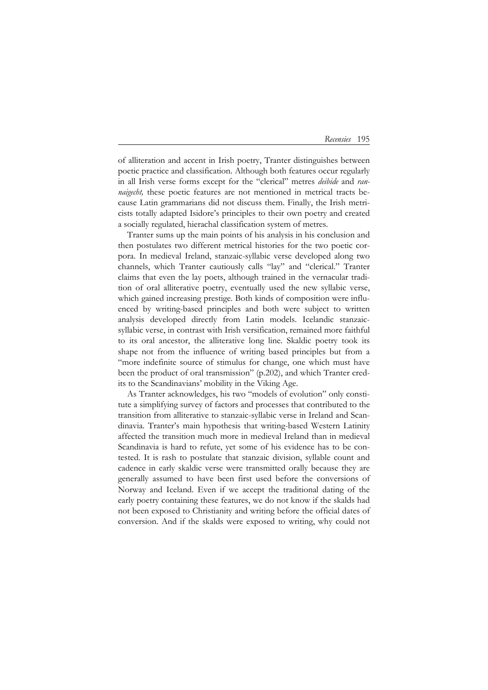## *Recensies* 195

of alliteration and accent in Irish poetry, Tranter distinguishes between poetic practice and classification. Although both features occur regularly in all Irish verse forms except for the "clerical" metres *deibide* and *rannaigecht*, these poetic features are not mentioned in metrical tracts because Latin grammarians did not discuss them. Finally, the Irish metricists totally adapted Isidore's principles to their own poetry and created a socially regulated, hierachal classification system of metres.

Tranter sums up the main points of his analysis in his conclusion and then postulates two different metrical histories for the two poetic corpora. In medieval Ireland, stanzaic-syllabic verse developed along two channels, which Tranter cautiously calls "lay" and "clerical." Tranter claims that even the lay poets, although trained in the vernacular tradition of oral alliterative poetry, eventually used the new syllabic verse, which gained increasing prestige. Both kinds of composition were influenced by writing-based principles and both were subject to written analysis developed directly from Latin models. Icelandic stanzaicsyllabic verse, in contrast with Irish versification, remained more faithful to its oral ancestor, the alliterative long line. Skaldic poetry took its shape not from the influence of writing based principles but from a "more indefinite source of stimulus for change, one which must have been the product of oral transmission" (p.202), and which Tranter credits to the Scandinavians' mobility in the Viking Age.

As Tranter acknowledges, his two "models of evolution" only constitute a simplifying survey of factors and processes that contributed to the transition from alliterative to stanzaic-syllabic verse in Ireland and Scandinavia. Tranter's main hypothesis that writing-based Western Latinity affected the transition much more in medieval Ireland than in medieval Scandinavia is hard to refute, yet some of his evidence has to be contested. It is rash to postulate that stanzaic division, syllable count and cadence in early skaldic verse were transmitted orally because they are generally assumed to have been first used before the conversions of Norway and Iceland. Even if we accept the traditional dating of the early poetry containing these features, we do not know if the skalds had not been exposed to Christianity and writing before the official dates of conversion. And if the skalds were exposed to writing, why could not